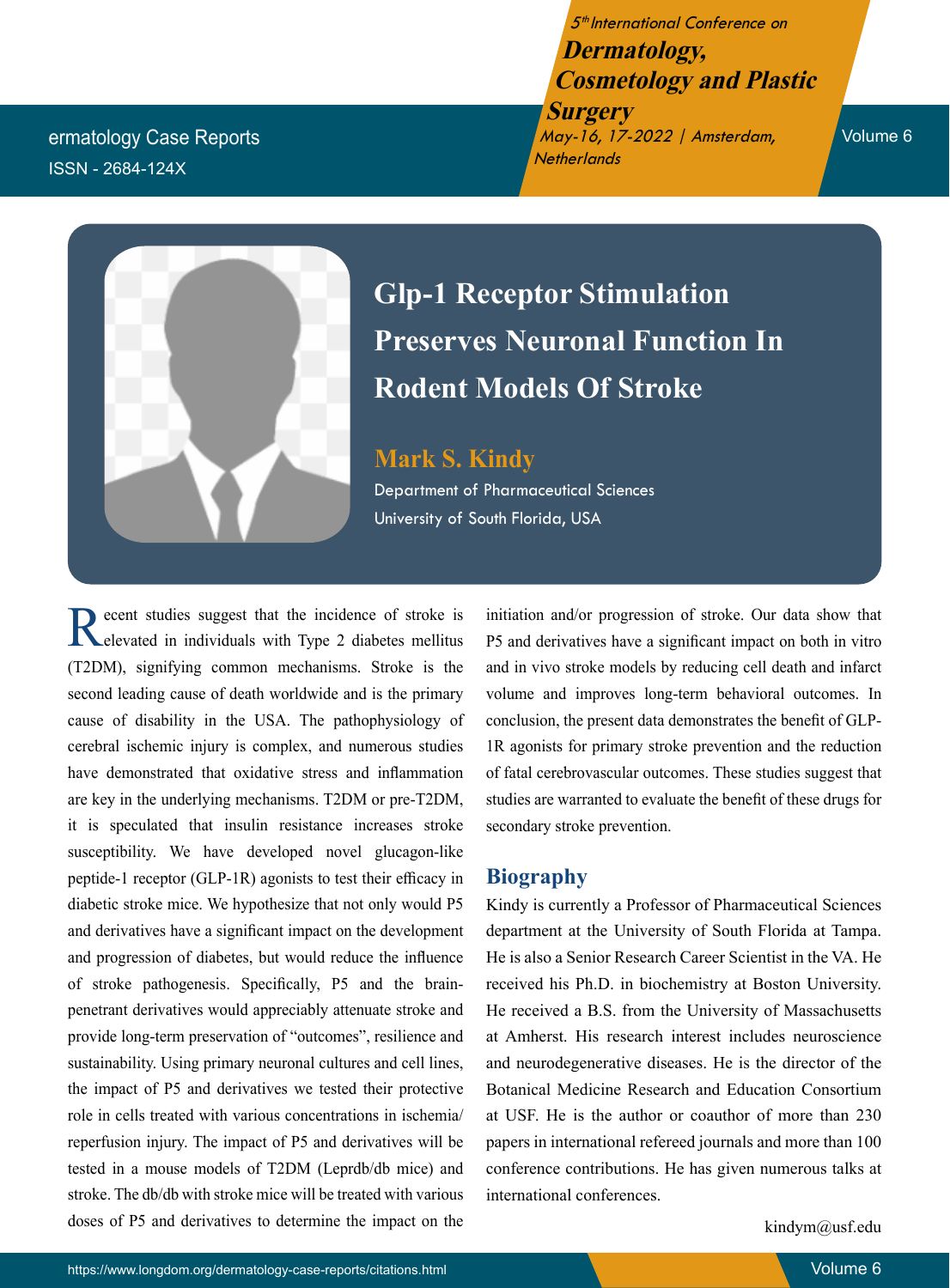5<sup>th</sup> International Conference on **Dermatology, Cosmetology and Plastic** 

**Surgery** May-16, 17-2022 | Amsterdam, **Netherlands** 

Volume 6

ermatology Case Reports ISSN - 2684-124X



# **Glp-1 Receptor Stimulation Preserves Neuronal Function In Rodent Models Of Stroke**

**Mark S. Kindy** Department of Pharmaceutical Sciences University of South Florida, USA

Recent studies suggest that the incidence of stroke is elevated in individuals with Type 2 diabetes mellitus (T2DM), signifying common mechanisms. Stroke is the second leading cause of death worldwide and is the primary cause of disability in the USA. The pathophysiology of cerebral ischemic injury is complex, and numerous studies have demonstrated that oxidative stress and inflammation are key in the underlying mechanisms. T2DM or pre-T2DM, it is speculated that insulin resistance increases stroke susceptibility. We have developed novel glucagon-like peptide-1 receptor (GLP-1R) agonists to test their efficacy in diabetic stroke mice. We hypothesize that not only would P5 and derivatives have a significant impact on the development and progression of diabetes, but would reduce the influence of stroke pathogenesis. Specifically, P5 and the brainpenetrant derivatives would appreciably attenuate stroke and provide long-term preservation of "outcomes", resilience and sustainability. Using primary neuronal cultures and cell lines, the impact of P5 and derivatives we tested their protective role in cells treated with various concentrations in ischemia/ reperfusion injury. The impact of P5 and derivatives will be tested in a mouse models of T2DM (Leprdb/db mice) and stroke. The db/db with stroke mice will be treated with various doses of P5 and derivatives to determine the impact on the

initiation and/or progression of stroke. Our data show that P5 and derivatives have a significant impact on both in vitro and in vivo stroke models by reducing cell death and infarct volume and improves long-term behavioral outcomes. In conclusion, the present data demonstrates the benefit of GLP-1R agonists for primary stroke prevention and the reduction of fatal cerebrovascular outcomes. These studies suggest that studies are warranted to evaluate the benefit of these drugs for secondary stroke prevention.

## **Biography**

Kindy is currently a Professor of Pharmaceutical Sciences department at the University of South Florida at Tampa. He is also a Senior Research Career Scientist in the VA. He received his Ph.D. in biochemistry at Boston University. He received a B.S. from the University of Massachusetts at Amherst. His research interest includes neuroscience and neurodegenerative diseases. He is the director of the Botanical Medicine Research and Education Consortium at USF. He is the author or coauthor of more than 230 papers in international refereed journals and more than 100 conference contributions. He has given numerous talks at international conferences.

kindym@usf.edu